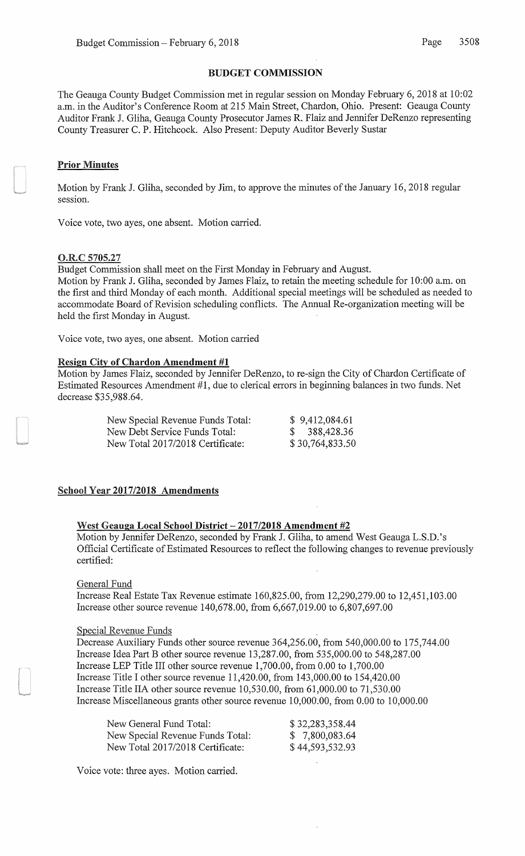# BUDGET COMMISSION

The Geauga County Budget Commission met in regular session on Monday February 6, 2018 at 10:02 a.m. in the Auditor's Conference Room at 215 Main Street, Chardon, Ohio. Present: Geauga County Auditor Frank J. Gliha, Geauga County Prosecutor James R. Flaiz and Jennifer DeRenzo representing County Treasurer C. P. Hitchcock. Also Present: Deputy Auditor Beverly Sustar

### Prior Minutes

Motion by Frank J. Gliha, seconded by Jim, to approve the minutes of the January 16, 2018 regular session.

Voice vote, two ayes, one absent. Motion carried.

#### O.R.C 5705.27

Budget Commission shall meet on the First Monday in February and August. Motion by Frank J. Gliha, seconded by James Flaiz, to retain the meeting schedule for 10:00 a.m. on the first and third Monday of each month. Additional special meetings will be scheduled as needed to accommodate Board of Revision scheduling conflicts. The Annual Re-organization meeting will be held the first Monday in August.

Voice vote, two ayes, one absent. Motion carried

#### Resign City of Chardon Amendment #1

Motion by James Flaiz, seconded by Jennifer DeRenzo, to re-sign the City of Chardon Certificate of Estimated Resources Amendment #1, due to clerical errors in beginning balances in two funds. Net decrease \$35,988.64.

| New Special Revenue Funds Total: | \$9,412,084.61  |
|----------------------------------|-----------------|
| New Debt Service Funds Total:    | \$388,428.36    |
| New Total 2017/2018 Certificate: | \$30,764,833.50 |

### School Year 2017/2018 Amendments

# West Geauga Local School District- **2017/2018 Amendment #2**

Motion by Jennifer DeRenzo, seconded by Frank J. Gliha, to amend West Geauga L.S.D.'s Official Certificate of Estimated Resources to reflect the following changes to revenue previously certified:

#### General Fund

Increase Real Estate Tax Revenue estimate 160,825.00, from 12,290,279.00 to 12,451,103.00 Increase other source revenue 140,678.00, from 6,667,019.00 to 6,807,697.00

#### Special Revenue Funds

Decrease Auxiliary Funds other source revenue 364,256.00, from 540,000.00 to 175,744.00 Increase Idea Part Bother source revenue 13,287.00, from 535,000.00 to 548,287.00 Increase LEP Title III other source revenue 1,700.00, from 0.00 to 1,700.00 Increase Title I other source revenue 11,420.00, from 143,000.00 to 154,420.00 Increase Title IIA other source revenue 10,530.00, from 61,000.00 to 71,530.00 Increase Miscellaneous grants other source revenue 1 0,000.00, from 0.00 to 10,000.00

| New General Fund Total:          | \$32,283,358.44 |
|----------------------------------|-----------------|
| New Special Revenue Funds Total: | \$7,800,083.64  |
| New Total 2017/2018 Certificate: | \$44,593,532.93 |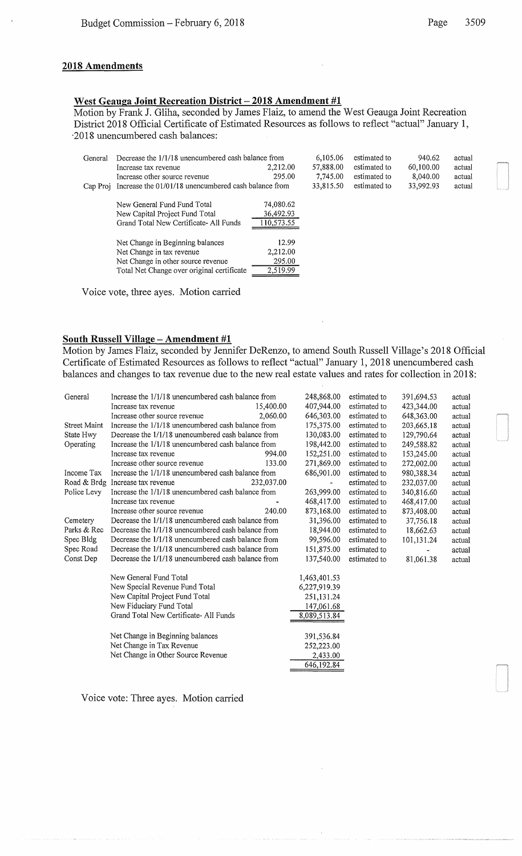### **2018 Amendments**

# **West Geauga Joint Recreation District- 2018 Amendment #1**

Motion by Frank **J.** Gliha, seconded by James Flaiz, to amend the West Geauga Joint Recreation District 2018 Official Certificate of Estimated Resources as follows to reflect "actual" January **1,**  ·2018 unencumbered cash balances:

| General  | Decrease the 1/1/18 unencumbered cash balance from<br>Increase tax revenue<br>Increase other source revenue | 2.212.00<br>295.00                   | 6,105.06<br>57,888.00<br>7,745.00 | estimated to<br>estimated to<br>estimated to | 940.62<br>60,100.00<br>8,040.00 | actual<br>actual<br>actual |
|----------|-------------------------------------------------------------------------------------------------------------|--------------------------------------|-----------------------------------|----------------------------------------------|---------------------------------|----------------------------|
| Cap Proj | Increase the 01/01/18 unencumbered cash balance from                                                        |                                      | 33,815.50                         | estimated to                                 | 33,992.93                       | actual                     |
|          | New General Fund Fund Total<br>New Capital Project Fund Total<br>Grand Total New Certificate-All Funds      | 74,080.62<br>36,492.93<br>110,573.55 |                                   |                                              |                                 |                            |
|          | Net Change in Beginning balances                                                                            | 12.99                                |                                   |                                              |                                 |                            |
|          | Net Change in tax revenue                                                                                   | 2,212.00                             |                                   |                                              |                                 |                            |
|          | Net Change in other source revenue                                                                          | 295.00                               |                                   |                                              |                                 |                            |
|          | Total Net Change over original certificate                                                                  | 2,519.99                             |                                   |                                              |                                 |                            |

Voice vote, three ayes. Motion carried

# **South Russell Village - Amendment #1**

Motion by James Flaiz, seconded by Jennifer DeRenzo, to amend South Russell Village's 2018 Official Certificate of Estimated Resources as follows to reflect "actual" January 1, 2018 unencumbered cash balances and changes to tax revenue due to the new real estate values and rates for collection in 2018:

| General             | Increase the 1/1/18 unencumbered cash balance from   | 248,868.00   | estimated to | 391,694.53 | actual |
|---------------------|------------------------------------------------------|--------------|--------------|------------|--------|
|                     | 15,400.00<br>Increase tax revenue                    | 407,944.00   | estimated to | 423,344.00 | actual |
|                     | Increase other source revenue<br>2.060.00            | 646,303.00   | estimated to | 648,363.00 | actual |
| <b>Street Maint</b> | Increase the 1/1/18 unencumbered cash balance from   | 175,375.00   | estimated to | 203,665.18 | actual |
| State Hwy           | Decrease the 1/1/18 unencumbered cash balance from   | 130,083.00   | estimated to | 129,790.64 | actual |
| Operating           | Increase the 1/1/18 unencumbered cash balance from   | 198,442.00   | estimated to | 249,588.82 | actual |
|                     | 994.00<br>Increase tax revenue                       | 152,251.00   | estimated to | 153,245.00 | actual |
|                     | Increase other source revenue<br>133.00              | 271,869.00   | estimated to | 272,002.00 | actual |
| Income Tax          | Increase the 1/1/18 unencumbered cash balance from   | 686,901.00   | estimated to | 980,388.34 | actual |
| Road & Brdg         | Increase tax revenue<br>232,037.00                   | ٠            | estimated to | 232,037.00 | actual |
| Police Levy         | Increase the 1/1/18 unencumbered cash balance from   | 263,999.00   | estimated to | 340,816.60 | actual |
|                     | Increase tax revenue                                 | 468,417.00   | estimated to | 468,417.00 | actual |
|                     | Increase other source revenue<br>240.00              | 873,168.00   | estimated to | 873,408.00 | actual |
| Cemetery            | Decrease the 1/1/18 unencumbered cash balance from   | 31,396.00    | estimated to | 37,756.18  | actual |
| Parks & Rec         | Decrease the 1/1/18 unencumbered cash balance from   | 18,944.00    | estimated to | 18,662.63  | actual |
| Spec Bldg           | Decrease the $1/1/18$ unencumbered cash balance from | 99,596.00    | estimated to | 101,131.24 | actual |
| Spec Road           | Decrease the 1/1/18 unencumbered cash balance from   | 151,875.00   | estimated to |            | actual |
| Const Dep           | Decrease the 1/1/18 unencumbered cash balance from   | 137,540.00   | estimated to | 81,061.38  | actual |
|                     | New General Fund Total                               | 1,463,401.53 |              |            |        |
|                     | New Special Revenue Fund Total                       | 6,227,919.39 |              |            |        |
|                     | New Capital Project Fund Total                       | 251,131.24   |              |            |        |
|                     | New Fiduciary Fund Total                             | 147,061.68   |              |            |        |
|                     | Grand Total New Certificate-All Funds                | 8,089,513.84 |              |            |        |
|                     | Net Change in Beginning balances                     | 391,536.84   |              |            |        |
|                     | Net Change in Tax Revenue                            | 252,223.00   |              |            |        |
|                     | Net Change in Other Source Revenue                   | 2,433.00     |              |            |        |
|                     |                                                      | 646,192.84   |              |            |        |
|                     |                                                      |              |              |            |        |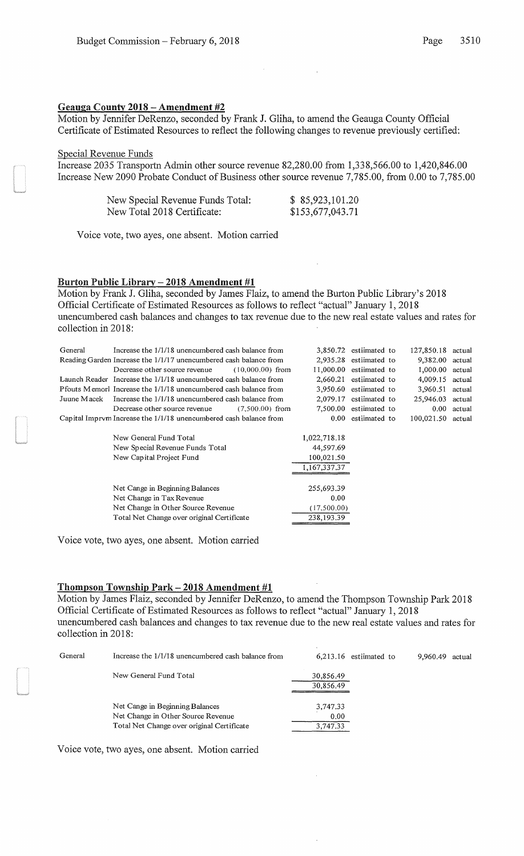### Geauga County 2018 -Amendment #2

Motion by Jennifer DeRenzo, seconded by Frank J. Gliha, to amend the Geauga County Official Certificate of Estimated Resources to reflect the following changes to revenue previously certified:

### Special Revenue Funds

Increase 2035 Transportn Admin other source revenue 82,280.00 from 1,338,566.00 to 1,420,846.00 Increase New 2090 Probate Conduct of Business other source revenue 7,785.00, from 0.00 to 7,785.00

| New Special Revenue Funds Total: | \$85,923,101.20  |
|----------------------------------|------------------|
| New Total 2018 Certificate:      | \$153,677,043.71 |

Voice vote, two ayes, one absent. Motion carried

### Burton Public Library- 2018 Amendment #1

Motion by Frank J. Gliha, seconded by James Flaiz, to amend the Burton Public Library's 2018 Official Certificate of Estimated Resources as follows to reflect "actual" January 1, 2018 unencumbered cash balances and changes to tax revenue due to the new real estate values and rates for collection in 2018:

| General     | Increase the 1/1/18 unencumbered cash balance from                |              | 3,850.72 estiimated to   | 127,850.18 actual |        |
|-------------|-------------------------------------------------------------------|--------------|--------------------------|-------------------|--------|
|             | Reading Garden Increase the 1/1/17 unencumbered cash balance from |              | $2,935.28$ estiimated to | 9,382.00          | actual |
|             | Decrease other source revenue<br>$(10.000.00)$ from               | 11,000.00    | estiimated to            | 1,000.00          | actual |
|             | Launch Reader Increase the 1/1/18 unencumbered cash balance from  | 2,660.21     | estiimated to            | 4,009.15          | actual |
|             | Pfouts Memorl Increase the 1/1/18 unencumbered cash balance from  | 3.950.60     | estiimated to            | 3.960.51          | actual |
| Juune Macek | Increase the 1/1/18 unencumbered cash balance from                | 2.079.17     | estiimated to            | 25,946.03         | actual |
|             | Decrease other source revenue<br>$(7.500.00)$ from                |              | 7.500.00 estimated to    | 0.00              | actual |
|             | Capital Imprym Increase the 1/1/18 unencumbered cash balance from | 0.00         | estiimated to            | 100,021.50        | actual |
|             |                                                                   |              |                          |                   |        |
|             | New General Fund Total                                            | 1,022,718.18 |                          |                   |        |
|             | New Special Revenue Funds Total                                   | 44,597.69    |                          |                   |        |
|             | New Capital Project Fund                                          | 100,021.50   |                          |                   |        |
|             |                                                                   | 1,167,337,37 |                          |                   |        |
|             |                                                                   |              |                          |                   |        |
|             | Net Cange in Beginning Balances                                   | 255,693.39   |                          |                   |        |
|             | Net Change in Tax Revenue                                         | 0.00         |                          |                   |        |
|             | Net Change in Other Source Revenue                                | (17,500.00)  |                          |                   |        |
|             | Total Net Change over original Certificate                        | 238,193.39   |                          |                   |        |

Voice vote, two ayes, one absent. Motion carried

# Thompson Township Park- 2018 Amendment #1

Motion by James Flaiz, seconded by Jennifer DeRenzo, to amend the Thompson Township Park 2018 Official Certificate of Estimated Resources as follows to reflect "actual" January 1, 2018 unencumbered cash balances and changes to tax revenue due to the new real estate values and rates for collection in 2018:

| General | Increase the 1/1/18 unencumbered cash balance from | $6,213.16$ estiimated to | 9.960.49<br>actual |
|---------|----------------------------------------------------|--------------------------|--------------------|
|         | New General Fund Total                             | 30,856.49<br>30,856.49   |                    |
|         |                                                    |                          |                    |
|         | Net Cange in Beginning Balances                    | 3,747.33                 |                    |
|         | Net Change in Other Source Revenue                 | 0.00                     |                    |
|         | Total Net Change over original Certificate         | 3,747.33                 |                    |
|         |                                                    |                          |                    |

Voice vote, two ayes, one absent. Motion carried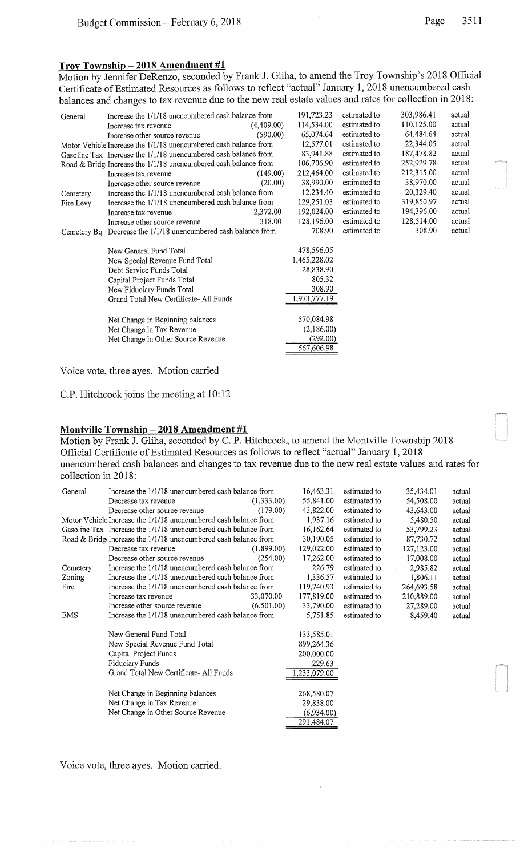# Troy Township- 2018 Amendment #1

Motion by Jennifer DeRenzo, seconded by Frank J. Gliha, to amend the Troy Township's 2018 Official Certificate of Estimated Resources as follows to reflect "actual" January 1, 2018 unencumbered cash balances and changes to tax revenue due to the new real estate values and rates for collection in 2018:

| General     | Increase the 1/1/18 unencumbered cash balance from               |            | 191,723.23   | estimated to | 303,986.41 | actual |
|-------------|------------------------------------------------------------------|------------|--------------|--------------|------------|--------|
|             | Increase tax revenue                                             | (4,409.00) | 114,534.00   | estimated to | 110,125.00 | actual |
|             | Increase other source revenue                                    | (590.00)   | 65,074.64    | estimated to | 64,484.64  | actual |
|             | Motor Vehicle Increase the 1/1/18 unencumbered cash balance from |            | 12,577.01    | estimated to | 22,344.05  | actual |
|             | Gasoline Tax Increase the 1/1/18 unencumbered cash balance from  |            | 83,941.88    | estimated to | 187,478.82 | actual |
|             | Road & Bridg Increase the 1/1/18 unencumbered cash balance from  |            | 106,706.90   | estimated to | 252,929.78 | actual |
|             | Increase tax revenue                                             | (149.00)   | 212,464.00   | estimated to | 212,315.00 | actual |
|             | Increase other source revenue                                    | (20.00)    | 38,990.00    | estimated to | 38,970.00  | actual |
| Cemetery    | Increase the 1/1/18 unencumbered cash balance from               |            | 12,234.40    | estimated to | 20,329.40  | actual |
| Fire Levy   | Increase the 1/1/18 unencumbered cash balance from               |            | 129,251.03   | estimated to | 319,850.97 | actual |
|             | Increase tax revenue                                             | 2,372.00   | 192,024.00   | estimated to | 194,396.00 | actual |
|             | Increase other source revenue                                    | 318.00     | 128,196.00   | estimated to | 128,514.00 | actual |
| Cemetery Bq | Decrease the 1/1/18 unencumbered cash balance from               |            | 708.90       | estimated to | 308.90     | actual |
|             | New General Fund Total                                           |            | 478,596.05   |              |            |        |
|             | New Special Revenue Fund Total                                   |            | 1,465,228.02 |              |            |        |
|             | Debt Service Funds Total                                         |            | 28,838.90    |              |            |        |
|             | Capital Project Funds Total                                      |            | 805.32       |              |            |        |
|             | New Fiduciary Funds Total                                        |            | 308.90       |              |            |        |
|             | Grand Total New Certificate-All Funds                            |            | 1,973,777.19 |              |            |        |
|             | Net Change in Beginning balances                                 |            | 570,084.98   |              |            |        |
|             | Net Change in Tax Revenue                                        |            | (2,186.00)   |              |            |        |
|             | Net Change in Other Source Revenue                               |            | (292.00)     |              |            |        |
|             |                                                                  |            | 567,606.98   |              |            |        |
|             |                                                                  |            |              |              |            |        |

Voice vote, three ayes. Motion carried

C.P. Hitchcock joins the meeting at 10:12

# Montville Township - 2018 Amendment #1

Motion by Frank J. Gliha, seconded by C. P. Hitchcock, to amend the Montville Township 2018 Official Certificate of Estimated Resources as follows to reflect "actual" January 1, 2018 unencumbered cash balances and changes to tax revenue due to the new real estate values and rates for collection in 2018:

| 35,434.01<br>actual  |
|----------------------|
| 54,508.00<br>actual  |
| 43,643.00<br>actual  |
| 5,480.50<br>actual   |
| 53,799.23<br>actual  |
| 87,730.72<br>actual  |
| 127,123.00<br>actual |
| 17,008.00<br>actual  |
| 2,985.82<br>actual   |
| 1,806.11<br>actual   |
| 264,693.58<br>actual |
| 210,889.00<br>actual |
| 27,289.00<br>actual  |
| 8,459.40<br>actual   |
|                      |
|                      |
|                      |
|                      |
|                      |
|                      |
|                      |
|                      |
|                      |
|                      |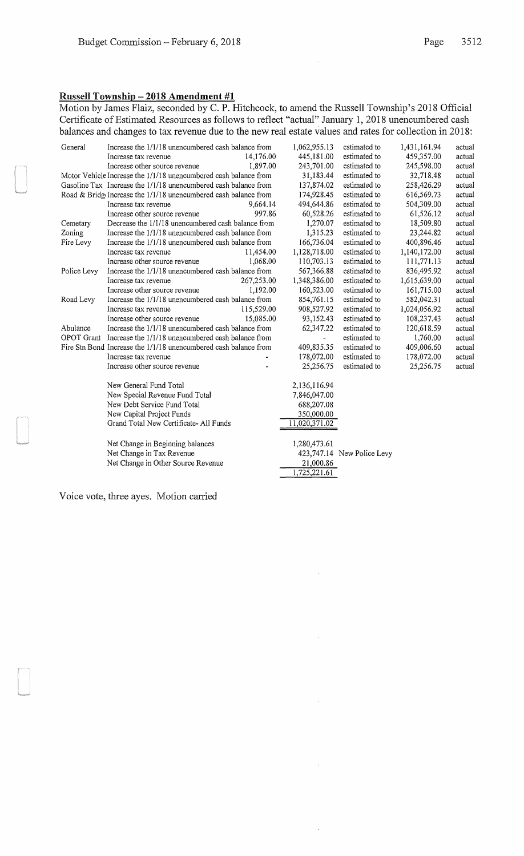# Russell Township - 2018 Amendment #1

Motion by James Flaiz, seconded by C. P. Hitchcock, to amend the Russell Township's 2018 Official Certificate of Estimated Resources as follows to reflect "actual" January 1, 2018 unencumbered cash balances and changes to tax revenue due to the new real estate values and rates for collection in 2018:

 $\mathcal{L}$ 

 $\ddot{\phantom{0}}$ 

 $\bar{z}$ 

 $\hat{\boldsymbol{\beta}}$ 

| 459,357.00<br>14,176.00<br>445,181.00<br>estimated to<br>Increase tax revenue<br>Increase other source revenue<br>1,897.00<br>243,701.00<br>estimated to<br>245,598.00<br>Motor Vehicle Increase the 1/1/18 unencumbered cash balance from<br>31,183.44<br>estimated to<br>32,718.48 | actual<br>actual<br>actual<br>actual<br>actual |
|--------------------------------------------------------------------------------------------------------------------------------------------------------------------------------------------------------------------------------------------------------------------------------------|------------------------------------------------|
|                                                                                                                                                                                                                                                                                      |                                                |
|                                                                                                                                                                                                                                                                                      |                                                |
|                                                                                                                                                                                                                                                                                      |                                                |
| Gasoline Tax Increase the 1/1/18 unencumbered cash balance from<br>137,874.02<br>estimated to<br>258,426.29                                                                                                                                                                          |                                                |
| Road & Bridge Increase the 1/1/18 unencumbered cash balance from<br>174,928.45<br>estimated to<br>616,569.73                                                                                                                                                                         |                                                |
| 494,644.86<br>504,309.00<br>9,664.14<br>estimated to<br>Increase tax revenue                                                                                                                                                                                                         | actual                                         |
| 997.86<br>60,528.26<br>estimated to<br>61,526.12<br>Increase other source revenue                                                                                                                                                                                                    | actual                                         |
| Decrease the 1/1/18 unencumbered cash balance from<br>1,270.07<br>estimated to<br>18,509.80<br>Cemetary                                                                                                                                                                              | actual                                         |
| Increase the 1/1/18 unencumbered cash balance from<br>Zoning<br>1,315.23<br>estimated to<br>23,244.82                                                                                                                                                                                | actual                                         |
| Increase the 1/1/18 unencumbered cash balance from<br>166,736.04<br>estimated to<br>400,896.46<br>Fire Levy                                                                                                                                                                          | actual                                         |
| 1,128,718.00<br>11,454.00<br>estimated to<br>1,140,172.00<br>Increase tax revenue                                                                                                                                                                                                    | actual                                         |
| 110,703.13<br>estimated to<br>Increase other source revenue<br>1,068.00<br>111,771.13                                                                                                                                                                                                | actual                                         |
| 567,366.88<br>Police Levy<br>Increase the 1/1/18 unencumbered cash balance from<br>estimated to<br>836,495.92                                                                                                                                                                        | actual                                         |
| 1,348,386.00<br>267,253.00<br>estimated to<br>1,615,639.00<br>Increase tax revenue                                                                                                                                                                                                   | actual                                         |
| 1,192.00<br>Increase other source revenue<br>160,523.00<br>estimated to<br>161,715.00                                                                                                                                                                                                | actual                                         |
| Road Levy<br>Increase the 1/1/18 unencumbered cash balance from<br>854,761.15<br>estimated to<br>582,042.31                                                                                                                                                                          | actual                                         |
| 115,529.00<br>estimated to<br>Increase tax revenue<br>908,527.92<br>1,024,056.92                                                                                                                                                                                                     | actual                                         |
| Increase other source revenue<br>15,085.00<br>estimated to<br>108,237.43<br>93,152.43                                                                                                                                                                                                | actual                                         |
| Increase the 1/1/18 unencumbered cash balance from<br>62,347.22<br>estimated to<br>120,618.59<br>Abulance                                                                                                                                                                            | actual                                         |
| OPOT Grant<br>Increase the 1/1/18 unencumbered cash balance from<br>estimated to<br>1,760.00<br>$\overline{\phantom{a}}$                                                                                                                                                             | actual                                         |
| 409,835.35<br>Fire Stn Bond Increase the 1/1/18 unencumbered cash balance from<br>estimated to<br>409,006.60                                                                                                                                                                         | actual                                         |
| 178,072.00<br>estimated to<br>178,072.00<br>Increase tax revenue                                                                                                                                                                                                                     | actual                                         |
| Increase other source revenue<br>25,256.75<br>estimated to<br>25,256.75                                                                                                                                                                                                              | actual                                         |
| 2,136,116.94<br>New General Fund Total                                                                                                                                                                                                                                               |                                                |
| New Special Revenue Fund Total<br>7,846,047.00                                                                                                                                                                                                                                       |                                                |
| New Debt Service Fund Total<br>688,207.08                                                                                                                                                                                                                                            |                                                |
| New Capital Project Funds<br>350,000.00                                                                                                                                                                                                                                              |                                                |
| Grand Total New Certificate- All Funds<br>11,020,371.02                                                                                                                                                                                                                              |                                                |
| Net Change in Beginning balances<br>1,280,473.61                                                                                                                                                                                                                                     |                                                |
| Net Change in Tax Revenue<br>423,747.14 New Police Levy                                                                                                                                                                                                                              |                                                |
| Net Change in Other Source Revenue<br>21,000.86                                                                                                                                                                                                                                      |                                                |
| 1,725,221.61                                                                                                                                                                                                                                                                         |                                                |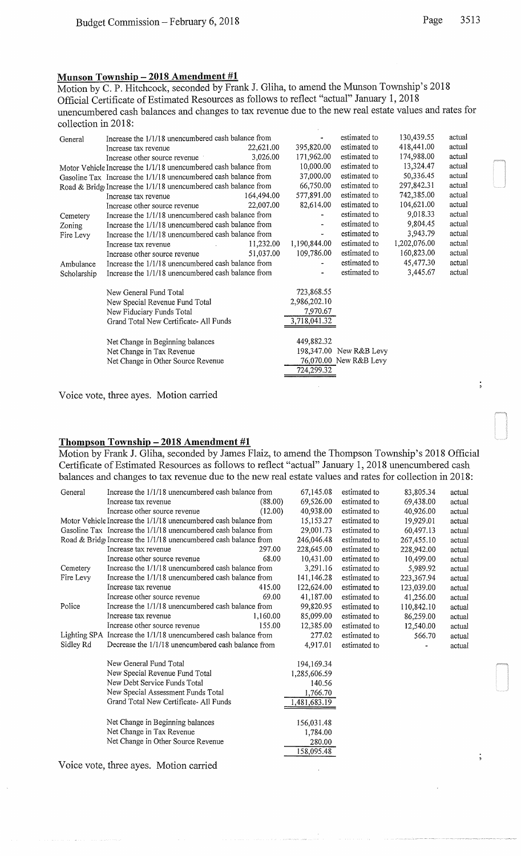$\vdots$ 

 $\ddot{\phantom{0}}$ 

# Munson Township - 2018 Amendment #1

Motion by C. P. Hitchcock, seconded by Frank J. Gliha, to amend the Munson Township's 2018 Official Certificate of Estimated Resources as follows to reflect "actual" January 1, 2018 unencumbered cash balances and changes to tax revenue due to the new real estate values and rates for collection in 2018:

| General     | Increase the 1/1/18 unencumbered cash balance from               |            |              | estimated to            | 130,439.55   | actual |
|-------------|------------------------------------------------------------------|------------|--------------|-------------------------|--------------|--------|
|             | Increase tax revenue                                             | 22,621.00  | 395,820.00   | estimated to            | 418,441.00   | actual |
|             | Increase other source revenue                                    | 3,026.00   | 171,962.00   | estimated to            | 174,988.00   | actual |
|             | Motor Vehicle Increase the 1/1/18 unencumbered cash balance from |            | 10,000.00    | estimated to            | 13,324.47    | actual |
|             | Gasoline Tax Increase the 1/1/18 unencumbered cash balance from  |            |              | estimated to            | 50,336.45    | actual |
|             | Road & Bridg Increase the 1/1/18 unencumbered cash balance from  |            | 66,750.00    | estimated to            | 297,842.31   | actual |
|             | Increase tax revenue                                             | 164,494.00 | 577,891.00   | estimated to            | 742,385.00   | actual |
|             | Increase other source revenue                                    | 22,007.00  | 82,614.00    | estimated to            | 104,621.00   | actual |
| Cemetery    | Increase the 1/1/18 unencumbered cash balance from               |            |              | estimated to            | 9,018.33     | actual |
| Zoning      | Increase the 1/1/18 unencumbered cash balance from               |            |              | estimated to            | 9,804.45     | actual |
| Fire Levy   | Increase the 1/1/18 unencumbered cash balance from               |            |              | estimated to            | 3,943.79     | actual |
|             | Increase tax revenue                                             | 11,232.00  | 1,190,844.00 | estimated to            | 1,202,076.00 | actual |
|             | Increase other source revenue                                    | 51,037.00  | 109,786.00   | estimated to            | 160,823.00   | actual |
| Ambulance   | Increase the 1/1/18 unencumbered cash balance from               |            |              | estimated to            | 45,477.30    | actual |
| Scholarship | Increase the 1/1/18 unencumbered cash balance from               |            |              | estimated to            | 3,445.67     | actual |
|             |                                                                  |            |              |                         |              |        |
|             | New General Fund Total                                           |            | 723,868.55   |                         |              |        |
|             | New Special Revenue Fund Total                                   |            | 2,986,202.10 |                         |              |        |
|             | New Fiduciary Funds Total                                        |            | 7,970.67     |                         |              |        |
|             | Grand Total New Certificate-All Funds                            |            | 3,718,041.32 |                         |              |        |
|             | Net Change in Beginning balances                                 |            | 449,882.32   |                         |              |        |
|             | Net Change in Tax Revenue                                        |            |              | 198,347.00 New R&B Levy |              |        |
|             | Net Change in Other Source Revenue                               |            |              | 76,070.00 New R&B Levy  |              |        |
|             |                                                                  |            | 724,299.32   |                         |              |        |
|             |                                                                  |            |              |                         |              |        |

Voice vote, three ayes. Motion carried

#### Thompson Township  $-2018$  Amendment #1

Motion by Frank J. Gliha, seconded by James Flaiz, to amend the Thompson Township's 2018 Official Certificate of Estimated Resources as follows to reflect "actual" January 1, 2018 unencumbered cash balances and changes to tax revenue due to the new real estate values and rates for collection in 2018:

| General   | Increase the 1/1/18 unencumbered cash balance from               |          | 67,145.08    | estimated to | 83,805.34  | actual |
|-----------|------------------------------------------------------------------|----------|--------------|--------------|------------|--------|
|           | Increase tax revenue                                             | (88.00)  | 69,526.00    | estimated to | 69,438.00  | actual |
|           | Increase other source revenue                                    | (12.00)  | 40,938.00    | estimated to | 40,926.00  | actual |
|           | Motor Vehicle Increase the 1/1/18 unencumbered cash balance from |          | 15,153.27    | estimated to | 19,929.01  | actual |
|           | Gasoline Tax Increase the 1/1/18 unencumbered cash balance from  |          | 29,001.73    | estimated to | 60,497.13  | actual |
|           | Road & Bridge Increase the 1/1/18 unencumbered cash balance from |          | 246,046.48   | estimated to | 267,455.10 | actual |
|           | Increase tax revenue                                             | 297.00   | 228,645.00   | estimated to | 228,942.00 | actual |
|           | Increase other source revenue                                    | 68.00    | 10,431.00    | estimated to | 10,499.00  | actual |
| Cemetery  | Increase the 1/1/18 unencumbered cash balance from               |          | 3,291.16     | estimated to | 5,989.92   | actual |
| Fire Levy | Increase the 1/1/18 unencumbered cash balance from               |          | 141,146.28   | estimated to | 223,367.94 | actual |
|           | Increase tax revenue                                             | 415.00   | 122,624.00   | estimated to | 123,039.00 | actual |
|           | Increase other source revenue                                    | 69.00    | 41,187.00    | estimated to | 41,256.00  | actual |
| Police    | Increase the 1/1/18 unencumbered cash balance from               |          | 99,820.95    | estimated to | 110,842.10 | actual |
|           | Increase tax revenue                                             | 1,160.00 | 85,099.00    | estimated to | 86,259.00  | actual |
|           | Increase other source revenue                                    | 155.00   | 12,385.00    | estimated to | 12,540.00  | actual |
|           | Lighting SPA Increase the 1/1/18 unencumbered cash balance from  |          | 277.02       | estimated to | 566.70     | actual |
| Sidley Rd | Decrease the 1/1/18 unencumbered cash balance from               |          | 4.917.01     | estimated to |            | actual |
|           | New General Fund Total                                           |          | 194,169.34   |              |            |        |
|           | New Special Revenue Fund Total                                   |          | 1,285,606.59 |              |            |        |
|           | New Debt Service Funds Total                                     |          | 140.56       |              |            |        |
|           | New Special Assessment Funds Total                               |          | 1,766.70     |              |            |        |
|           | Grand Total New Certificate-All Funds                            |          | ,481,683.19  |              |            |        |
|           |                                                                  |          |              |              |            |        |
|           | Net Change in Beginning balances                                 |          | 156,031.48   |              |            |        |
|           | Net Change in Tax Revenue                                        |          | 1,784.00     |              |            |        |
|           | Net Change in Other Source Revenue                               |          | 280.00       |              |            |        |
|           |                                                                  |          | 158,095.48   |              |            |        |

 $\ddot{\phantom{a}}$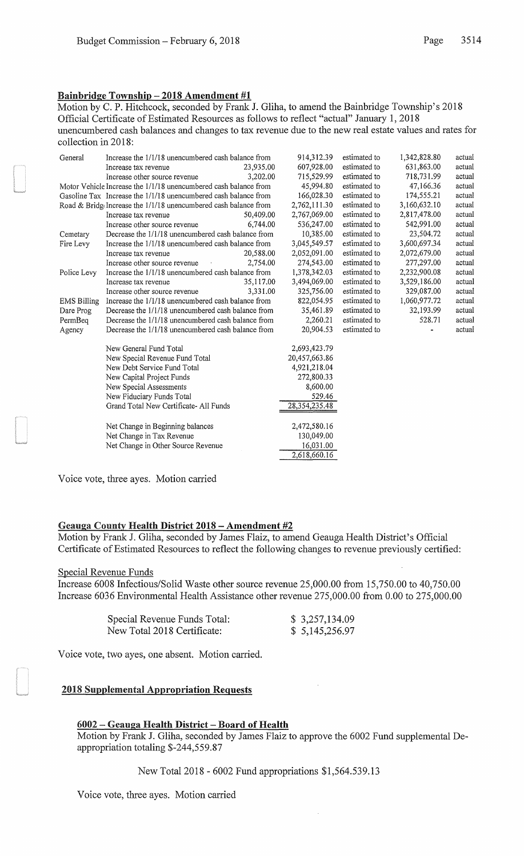# Bainbridge Township- 2018 Amendment #1

Motion by C. P. Hitchcock, seconded by Frank J. Gliha, to amend the Bainbridge Township's 2018 Official Certificate of Estimated Resources as follows to reflect "actual" January 1, 2018 unencumbered cash balances and changes to tax revenue due to the new real estate values and rates for collection in 2018:

| General                                                          | Increase the 1/1/18 unencumbered cash balance from               |           | 914,312.39       | estimated to | 1,342,828.80 | actual |
|------------------------------------------------------------------|------------------------------------------------------------------|-----------|------------------|--------------|--------------|--------|
|                                                                  | Increase tax revenue                                             | 23,935.00 | 607,928.00       | estimated to | 631,863.00   | actual |
|                                                                  | Increase other source revenue                                    | 3,202.00  | 715,529.99       | estimated to | 718,731.99   | actual |
| Motor Vehicle Increase the 1/1/18 unencumbered cash balance from |                                                                  | 45,994.80 | estimated to     | 47,166.36    | actual       |        |
|                                                                  | Gasoline Tax Increase the 1/1/18 unencumbered cash balance from  |           | 166,028.30       | estimated to | 174,555.21   | actual |
|                                                                  | Road & Bridge Increase the 1/1/18 unencumbered cash balance from |           | 2,762,111.30     | estimated to | 3,160,632.10 | actual |
|                                                                  | Increase tax revenue                                             | 50,409.00 | 2,767,069.00     | estimated to | 2,817,478.00 | actual |
|                                                                  | Increase other source revenue                                    | 6,744.00  | 536,247.00       | estimated to | 542,991.00   | actual |
| Cemetary                                                         | Decrease the 1/1/18 unencumbered cash balance from               |           | 10,385.00        | estimated to | 23,504.72    | actual |
| Fire Levy                                                        | Increase the 1/1/18 unencumbered cash balance from               |           | 3,045,549.57     | estimated to | 3,600,697.34 | actual |
|                                                                  | Increase tax revenue                                             | 20,588.00 | 2,052,091.00     | estimated to | 2,072,679.00 | actual |
|                                                                  | Increase other source revenue                                    | 2,754.00  | 274,543.00       | estimated to | 277,297.00   | actual |
| Police Levy                                                      | Increase the $1/1/18$ unencumbered cash balance from             |           | 1,378,342.03     | estimated to | 2,232,900.08 | actual |
|                                                                  | Increase tax revenue                                             | 35,117.00 | 3,494,069.00     | estimated to | 3,529,186.00 | actual |
|                                                                  | Increase other source revenue                                    | 3.331.00  | 325,756.00       | estimated to | 329,087.00   | actual |
| <b>EMS Billing</b>                                               | Increase the 1/1/18 unencumbered cash balance from               |           | 822,054.95       | estimated to | 1,060,977.72 | actual |
| Dare Prog                                                        | Decrease the 1/1/18 unencumbered cash balance from               |           | 35,461.89        | estimated to | 32,193.99    | actual |
| PermBeq                                                          | Decrease the 1/1/18 unencumbered cash balance from               |           | 2,260.21         | estimated to | 528.71       | actual |
| Agency                                                           | Decrease the 1/1/18 unencumbered cash balance from               |           | 20,904.53        | estimated to |              | actual |
|                                                                  | New General Fund Total                                           |           | 2,693,423.79     |              |              |        |
|                                                                  | New Special Revenue Fund Total                                   |           | 20,457,663.86    |              |              |        |
|                                                                  | New Debt Service Fund Total                                      |           | 4,921,218.04     |              |              |        |
|                                                                  | New Capital Project Funds                                        |           | 272,800.33       |              |              |        |
|                                                                  | New Special Assessments                                          |           | 8,600.00         |              |              |        |
|                                                                  | New Fiduciary Funds Total                                        |           | 529.46           |              |              |        |
|                                                                  | Grand Total New Certificate- All Funds                           |           | 28, 354, 235. 48 |              |              |        |
|                                                                  | Net Change in Beginning balances                                 |           | 2,472,580.16     |              |              |        |
|                                                                  | Net Change in Tax Revenue                                        |           | 130,049.00       |              |              |        |
|                                                                  | Net Change in Other Source Revenue                               |           | 16,031.00        |              |              |        |
|                                                                  |                                                                  |           | 2,618,660.16     |              |              |        |
|                                                                  |                                                                  |           |                  |              |              |        |

Voice vote, three ayes. Motion carried

# Geauga County Health District 2018 - Amendment #2

Motion by Frank J. Gliha, seconded by James Flaiz, to amend Geauga Health District's Official Certificate of Estimated Resources to reflect the following changes to revenue previously certified:

#### Special Revenue Funds

Increase 6008 Infectious/Solid Waste other source revenue 25,000.00 from 15,750.00 to 40,750.00 Increase 6036 Environmental Health Assistance other revenue 275,000.00 from 0.00 to 275,000.00

| Special Revenue Funds Total: | \$3,257,134.09 |
|------------------------------|----------------|
| New Total 2018 Certificate:  | \$5,145,256.97 |

Voice vote, two ayes, one absent. Motion carried.

# 2018 Supplemental Appropriation Requests

### 6002 - Geauga Health District - Board of Health

Motion by Frank J. Gliha, seconded by James Flaiz to approve the 6002 Fund supplemental Deappropriation totaling \$-244,559.87

New Total2018- 6002 Fund appropriations \$1,564.539.13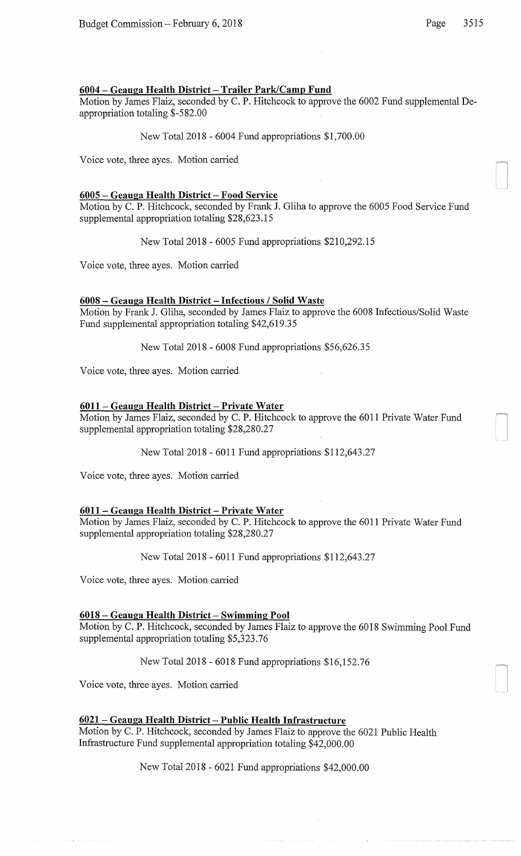# 6004 - Geauga Health District - Trailer Park/Camp Fund

Motion by James Flaiz, seconded by C. P. Hitchcock to approve the 6002 Fund supplemental Deappropriation totaling \$-582.00

New Total2018- 6004 Fund appropriations \$1,700.00

Voice vote, three ayes. Motion carried

## 6005 - Geauga Health District - Food Service

Motion by C. P. Hitchcock, seconded by Frank J. Gliha to approve the 6005 Food Service Fund supplemental appropriation totaling \$28,623.15

New Total2018- 6005 Fund appropriations \$210,292.15

Voice vote, three ayes. Motion carried

# 6008 - Geauga Health District- Infectious I Solid Waste

Motion by Frank J. Gliha, seconded by James Flaiz to approve the 6008 Infectious/Solid Waste Fund supplemental appropriation totaling \$42,619.35

New Total2018- 6008 Fund appropriations \$56,626.35

Voice vote, three ayes. Motion carried

# 6011 – Geauga Health District – Private Water

Motion by James Flaiz, seconded by C. P. Hitchcock to approve the 6011 Private Water Fund supplemental appropriation totaling \$28,280.27

New Total2018- 6011 Fund appropriations \$112,643.27

Voice vote, three ayes. Motion carried

### 6011- Geauga Health District- Private Water

Motion by James Flaiz, seconded by C. P. Hitchcock to approve the 6011 Private Water Fund supplemental appropriation totaling \$28,280.27

New Total2018- 6011 Fund appropriations \$112,643.27

Voice vote, three ayes. Motion carried

# 6018- Geauga Health District- Swimming Pool

Motion by C. P. Hitchcock, seconded by James Flaiz to approve the 6018 Swimming Pool Fund supplemental appropriation totaling \$5,323.76

New Total2018- 6018 Fund appropriations \$16,152.76

Voice vote, three ayes. Motion carried

# 6021 - Geauga Health District- Public Health Infrastructure

Motion by C. P. Hitchcock, seconded by James Flaiz to approve the 6021 Public Health Infrastructure Fund supplemental appropriation totaling \$42,000.00

New Total2018- 6021 Fund appropriations \$42,000.00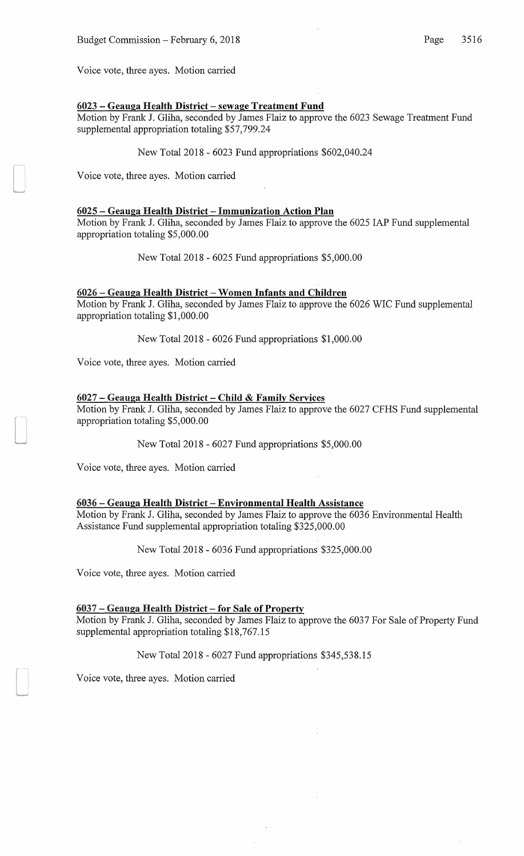Voice vote, three ayes. Motion carried

#### 6023 - Geauga Health District- sewage Treatment Fund

Motion by Frank J. Gliha, seconded by James Flaiz to approve the 6023 Sewage Treatment Fund supplemental appropriation totaling \$57,799.24

New Total2018- 6023 Fund appropriations \$602,040.24

Voice vote, three ayes. Motion carried

#### 6025 - Geauga Health District- Immunization Action Plan

Motion by Frank J. Gliha, seconded by James Flaiz to approve the 6025 lAP Fund supplemental appropriation totaling \$5,000.00

New Total2018- 6025 Fund appropriations \$5,000.00

## 6026- Geauga Health District- Women Infants and Children

Motion by Frank J. Gliha, seconded by James Flaiz to approve the 6026 WIC Fund supplemental appropriation totaling \$1,000.00

New Total2018- 6026 Fund appropriations \$1,000.00

Voice vote, three ayes. Motion carried

#### 6027 - Geauga Health District- Child & Family Services

Motion by Frank J. Gliha, seconded by James Flaiz to approve the 6027 CFHS Fund supplemental appropriation totaling \$5,000.00

New Total2018- 6027 Fund appropriations \$5,000.00

Voice vote, three ayes. Motion carried

## 6036 - Geauga Health District - Environmental Health Assistance

Motion by Frank J. Gliha, seconded by James Flaiz to approve the 6036 Environmental Health Assistance Fund supplemental appropriation totaling \$325,000.00

New Total2018- 6036 Fund appropriations \$325,000.00

Voice vote, three ayes. Motion carried

# 6037 - Geauga Health District- for Sale of Property

Motion by Frank J. Gliha, seconded by James Flaiz to approve the 6037 For Sale of Property Fund supplemental appropriation totaling \$18,767.15

#### New Total2018- 6027 Fund appropriations \$345,538.15